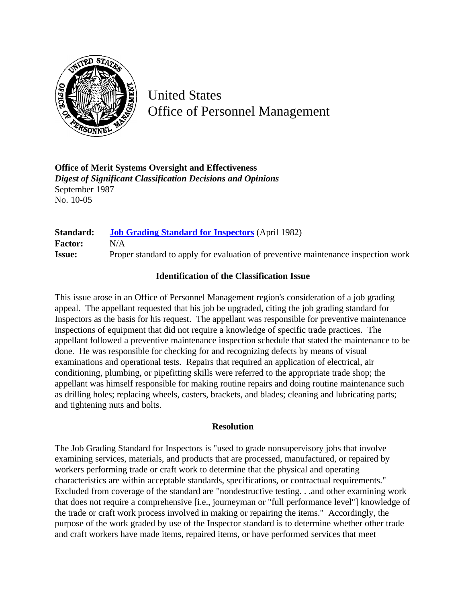

United States Office of Personnel Management

**Office of Merit Systems Oversight and Effectiveness** *Digest of Significant Classification Decisions and Opinions* September 1987 No. 10-05

**Standard: [Job Grading Standard for Inspectors](http://www.opm.gov/hr/fedclass/fwsinsp.pdf)** (April 1982) **Factor:** N/A **Issue:** Proper standard to apply for evaluation of preventive maintenance inspection work

## **Identification of the Classification Issue**

This issue arose in an Office of Personnel Management region's consideration of a job grading appeal. The appellant requested that his job be upgraded, citing the job grading standard for Inspectors as the basis for his request. The appellant was responsible for preventive maintenance inspections of equipment that did not require a knowledge of specific trade practices. The appellant followed a preventive maintenance inspection schedule that stated the maintenance to be done. He was responsible for checking for and recognizing defects by means of visual examinations and operational tests. Repairs that required an application of electrical, air conditioning, plumbing, or pipefitting skills were referred to the appropriate trade shop; the appellant was himself responsible for making routine repairs and doing routine maintenance such as drilling holes; replacing wheels, casters, brackets, and blades; cleaning and lubricating parts; and tightening nuts and bolts.

## **Resolution**

The Job Grading Standard for Inspectors is "used to grade nonsupervisory jobs that involve examining services, materials, and products that are processed, manufactured, or repaired by workers performing trade or craft work to determine that the physical and operating characteristics are within acceptable standards, specifications, or contractual requirements." Excluded from coverage of the standard are "nondestructive testing. . .and other examining work that does not require a comprehensive [i.e., journeyman or "full performance level"] knowledge of the trade or craft work process involved in making or repairing the items." Accordingly, the purpose of the work graded by use of the Inspector standard is to determine whether other trade and craft workers have made items, repaired items, or have performed services that meet